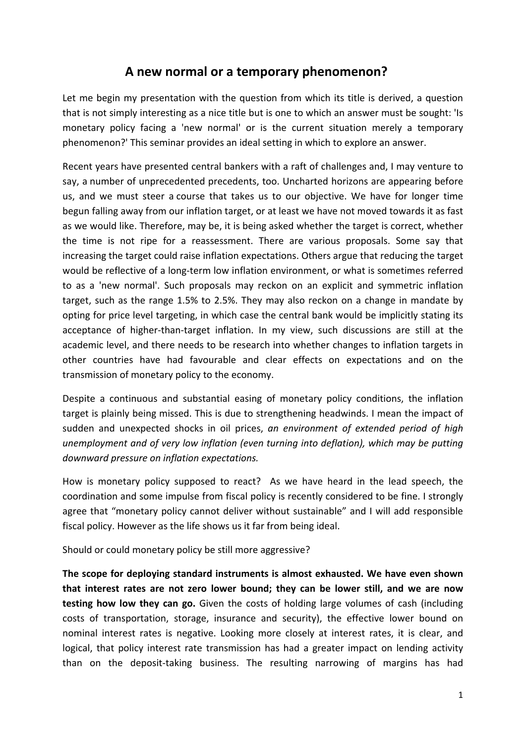## **A new normal or a temporary phenomenon?**

Let me begin my presentation with the question from which its title is derived, a question that is not simply interesting as a nice title but is one to which an answer must be sought: 'Is monetary policy facing a 'new normal' or is the current situation merely a temporary phenomenon?' This seminar provides an ideal setting in which to explore an answer.

Recent years have presented central bankers with a raft of challenges and, I may venture to say, a number of unprecedented precedents, too. Uncharted horizons are appearing before us, and we must steer a course that takes us to our objective. We have for longer time begun falling away from our inflation target, or at least we have not moved towards it as fast as we would like. Therefore, may be, it is being asked whether the target is correct, whether the time is not ripe for a reassessment. There are various proposals. Some say that increasing the target could raise inflation expectations. Others argue that reducing the target would be reflective of a long-term low inflation environment, or what is sometimes referred to as a 'new normal'. Such proposals may reckon on an explicit and symmetric inflation target, such as the range 1.5% to 2.5%. They may also reckon on a change in mandate by opting for price level targeting, in which case the central bank would be implicitly stating its acceptance of higher‐than‐target inflation. In my view, such discussions are still at the academic level, and there needs to be research into whether changes to inflation targets in other countries have had favourable and clear effects on expectations and on the transmission of monetary policy to the economy.

Despite a continuous and substantial easing of monetary policy conditions, the inflation target is plainly being missed. This is due to strengthening headwinds. I mean the impact of sudden and unexpected shocks in oil prices, *an environment of extended period of high unemployment and of very low inflation (even turning into deflation), which may be putting downward pressure on inflation expectations.*

How is monetary policy supposed to react? As we have heard in the lead speech, the coordination and some impulse from fiscal policy is recently considered to be fine. I strongly agree that "monetary policy cannot deliver without sustainable" and I will add responsible fiscal policy. However as the life shows us it far from being ideal.

Should or could monetary policy be still more aggressive?

**The scope for deploying standard instruments is almost exhausted. We have even shown that interest rates are not zero lower bound; they can be lower still, and we are now testing how low they can go.** Given the costs of holding large volumes of cash (including costs of transportation, storage, insurance and security), the effective lower bound on nominal interest rates is negative. Looking more closely at interest rates, it is clear, and logical, that policy interest rate transmission has had a greater impact on lending activity than on the deposit-taking business. The resulting narrowing of margins has had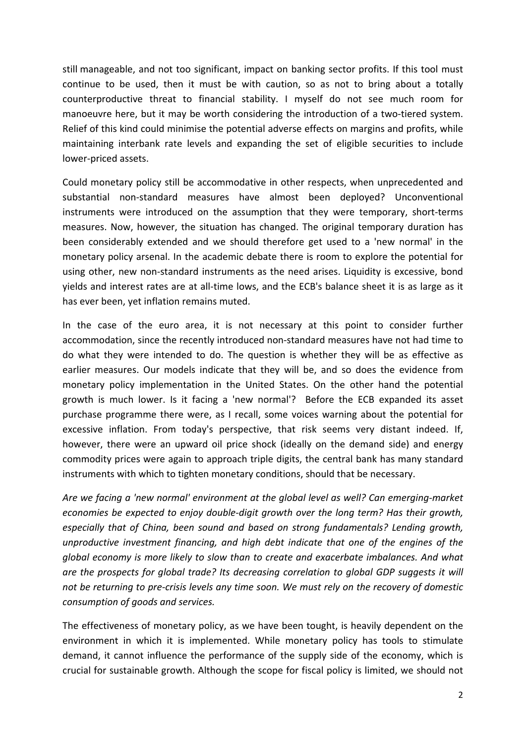still manageable, and not too significant, impact on banking sector profits. If this tool must continue to be used, then it must be with caution, so as not to bring about a totally counterproductive threat to financial stability. I myself do not see much room for manoeuvre here, but it may be worth considering the introduction of a two‐tiered system. Relief of this kind could minimise the potential adverse effects on margins and profits, while maintaining interbank rate levels and expanding the set of eligible securities to include lower‐priced assets.

Could monetary policy still be accommodative in other respects, when unprecedented and substantial non‐standard measures have almost been deployed? Unconventional instruments were introduced on the assumption that they were temporary, short-terms measures. Now, however, the situation has changed. The original temporary duration has been considerably extended and we should therefore get used to a 'new normal' in the monetary policy arsenal. In the academic debate there is room to explore the potential for using other, new non‐standard instruments as the need arises. Liquidity is excessive, bond yields and interest rates are at all‐time lows, and the ECB's balance sheet it is as large as it has ever been, yet inflation remains muted.

In the case of the euro area, it is not necessary at this point to consider further accommodation, since the recently introduced non‐standard measures have not had time to do what they were intended to do. The question is whether they will be as effective as earlier measures. Our models indicate that they will be, and so does the evidence from monetary policy implementation in the United States. On the other hand the potential growth is much lower. Is it facing a 'new normal'? Before the ECB expanded its asset purchase programme there were, as I recall, some voices warning about the potential for excessive inflation. From today's perspective, that risk seems very distant indeed. If, however, there were an upward oil price shock (ideally on the demand side) and energy commodity prices were again to approach triple digits, the central bank has many standard instruments with which to tighten monetary conditions, should that be necessary.

*Are we facing a 'new normal' environment at the global level as well? Can emerging‐market economies be expected to enjoy double‐digit growth over the long term? Has their growth, especially that of China, been sound and based on strong fundamentals? Lending growth, unproductive investment financing, and high debt indicate that one of the engines of the global economy is more likely to slow than to create and exacerbate imbalances. And what are the prospects for global trade? Its decreasing correlation to global GDP suggests it will* not be returning to pre-crisis levels any time soon. We must rely on the recovery of domestic *consumption of goods and services.* 

The effectiveness of monetary policy, as we have been tought, is heavily dependent on the environment in which it is implemented. While monetary policy has tools to stimulate demand, it cannot influence the performance of the supply side of the economy, which is crucial for sustainable growth. Although the scope for fiscal policy is limited, we should not